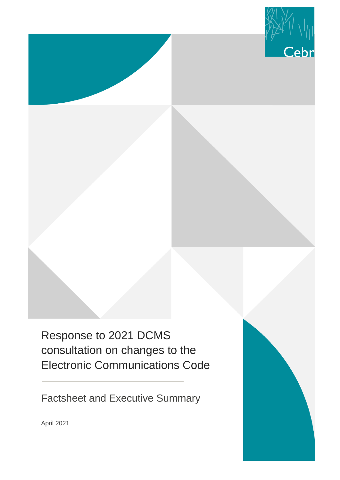

Response to 2021 DCMS consultation on changes to the Electronic Communications Code

Factsheet and Executive Summary



April 2021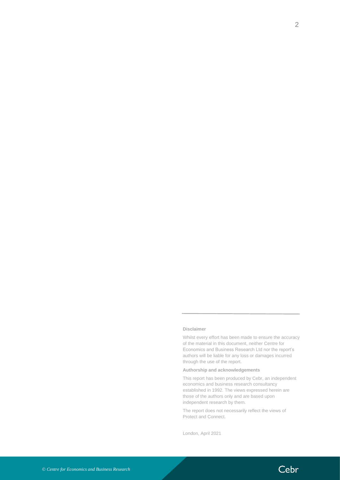#### **Disclaimer**

Whilst every effort has been made to ensure the accuracy of the material in this document, neither Centre for Economics and Business Research Ltd nor the report's authors will be liable for any loss or damages incurred through the use of the report.

### **Authorship and acknowledgements**

This report has been produced by Cebr, an independent economics and business research consultancy established in 1992. The views expressed herein are those of the authors only and are based upon independent research by them.

The report does not necessarily reflect the views of Protect and Connect.

London, April 2021

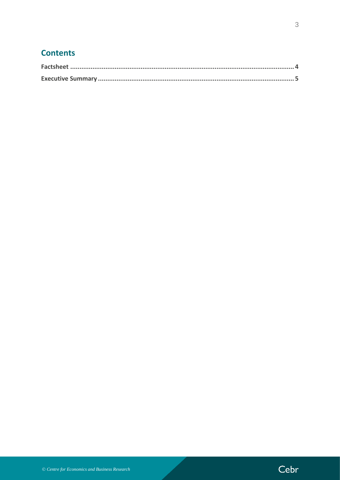### **Contents**

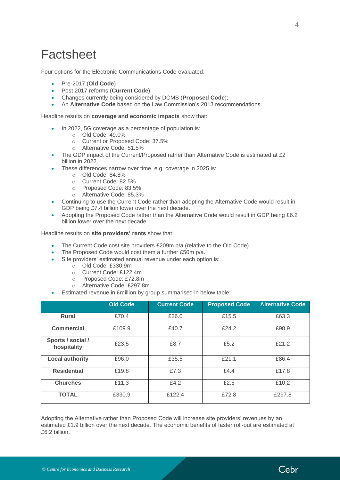# <span id="page-3-0"></span>**Factsheet**

Four options for the Electronic Communications Code evaluated:

- Pre-2017 (**Old Code**)
- Post 2017 reforms (**Current Code**);
- Changes currently being considered by DCMS (**Proposed Code**);
- An **Alternative Code** based on the Law Commission's 2013 recommendations.

### Headline results on **coverage and economic impacts** show that:

- In 2022, 5G coverage as a percentage of population is:
	- o Old Code: 49.0%
	- o Current or Proposed Code: 37.5%
	- o Alternative Code: 51.5%
- The GDP impact of the Current/Proposed rather than Alternative Code is estimated at £2 billion in 2022.
- These differences narrow over time, e.g. coverage in 2025 is:
	- o Old Code: 84.8%
	- o Current Code: 82.5%
	- o Proposed Code: 83.5%
	- o Alternative Code: 85.3%
- Continuing to use the Current Code rather than adopting the Alternative Code would result in GDP being £7.4 billion lower over the next decade.
- Adopting the Proposed Code rather than the Alternative Code would result in GDP being £6.2 billion lower over the next decade.

Headline results on **site providers' rents** show that:

- The Current Code cost site providers £209m p/a (relative to the Old Code).
- The Proposed Code would cost them a further £50m p/a.
- Site providers' estimated annual revenue under each option is:
	- o Old Code: £330.9m
		- o Current Code: £122.4m
		- o Proposed Code: £72.8m
		- o Alternative Code: £297.8m
- Estimated revenue in £million by group summarised in below table:

|                                  | <b>Old Code</b> | <b>Current Code</b> | <b>Proposed Code</b> | <b>Alternative Code</b> |
|----------------------------------|-----------------|---------------------|----------------------|-------------------------|
| <b>Rural</b>                     | £70.4           | £26.0               | £15.5                | £63.3                   |
| <b>Commercial</b>                | £109.9          | £40.7               | £24.2                | £98.9                   |
| Sports / social /<br>hospitality | £23.5           | £8.7                | £5.2                 | £21.2                   |
| <b>Local authority</b>           | £96.0           | £35.5               | £21.1                | £86.4                   |
| <b>Residential</b>               | £19.8           | £7.3                | £4.4                 | £17.8                   |
| <b>Churches</b>                  | £11.3           | £4.2                | £2.5                 | £10.2                   |
| <b>TOTAL</b>                     | £330.9          | £122.4              | £72.8                | £297.8                  |

Adopting the Alternative rather than Proposed Code will increase site providers' revenues by an estimated £1.9 billion over the next decade. The economic benefits of faster roll-out are estimated at £6.2 billion.

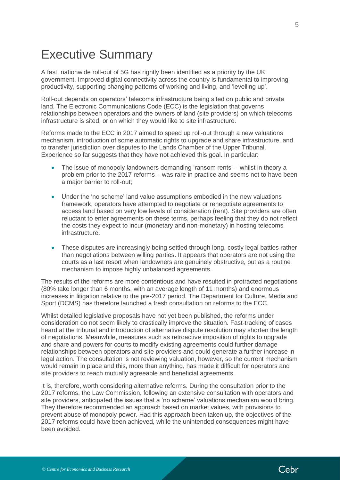# <span id="page-4-0"></span>Executive Summary

A fast, nationwide roll-out of 5G has rightly been identified as a priority by the UK government. Improved digital connectivity across the country is fundamental to improving productivity, supporting changing patterns of working and living, and 'levelling up'.

Roll-out depends on operators' telecoms infrastructure being sited on public and private land. The Electronic Communications Code (ECC) is the legislation that governs relationships between operators and the owners of land (site providers) on which telecoms infrastructure is sited, or on which they would like to site infrastructure.

Reforms made to the ECC in 2017 aimed to speed up roll-out through a new valuations mechanism, introduction of some automatic rights to upgrade and share infrastructure, and to transfer jurisdiction over disputes to the Lands Chamber of the Upper Tribunal. Experience so far suggests that they have not achieved this goal. In particular:

- The issue of monopoly landowners demanding 'ransom rents' whilst in theory a problem prior to the 2017 reforms – was rare in practice and seems not to have been a major barrier to roll-out;
- Under the 'no scheme' land value assumptions embodied in the new valuations framework, operators have attempted to negotiate or renegotiate agreements to access land based on very low levels of consideration (rent). Site providers are often reluctant to enter agreements on these terms, perhaps feeling that they do not reflect the costs they expect to incur (monetary and non-monetary) in hosting telecoms infrastructure.
- These disputes are increasingly being settled through long, costly legal battles rather than negotiations between willing parties. It appears that operators are not using the courts as a last resort when landowners are genuinely obstructive, but as a routine mechanism to impose highly unbalanced agreements.

The results of the reforms are more contentious and have resulted in protracted negotiations (80% take longer than 6 months, with an average length of 11 months) and enormous increases in litigation relative to the pre-2017 period. The Department for Culture, Media and Sport (DCMS) has therefore launched a fresh consultation on reforms to the ECC.

Whilst detailed legislative proposals have not yet been published, the reforms under consideration do not seem likely to drastically improve the situation. Fast-tracking of cases heard at the tribunal and introduction of alternative dispute resolution may shorten the length of negotiations. Meanwhile, measures such as retroactive imposition of rights to upgrade and share and powers for courts to modify existing agreements could further damage relationships between operators and site providers and could generate a further increase in legal action. The consultation is not reviewing valuation, however, so the current mechanism would remain in place and this, more than anything, has made it difficult for operators and site providers to reach mutually agreeable and beneficial agreements.

It is, therefore, worth considering alternative reforms. During the consultation prior to the 2017 reforms, the Law Commission, following an extensive consultation with operators and site providers, anticipated the issues that a 'no scheme' valuations mechanism would bring. They therefore recommended an approach based on market values, with provisions to prevent abuse of monopoly power. Had this approach been taken up, the objectives of the 2017 reforms could have been achieved, while the unintended consequences might have been avoided.